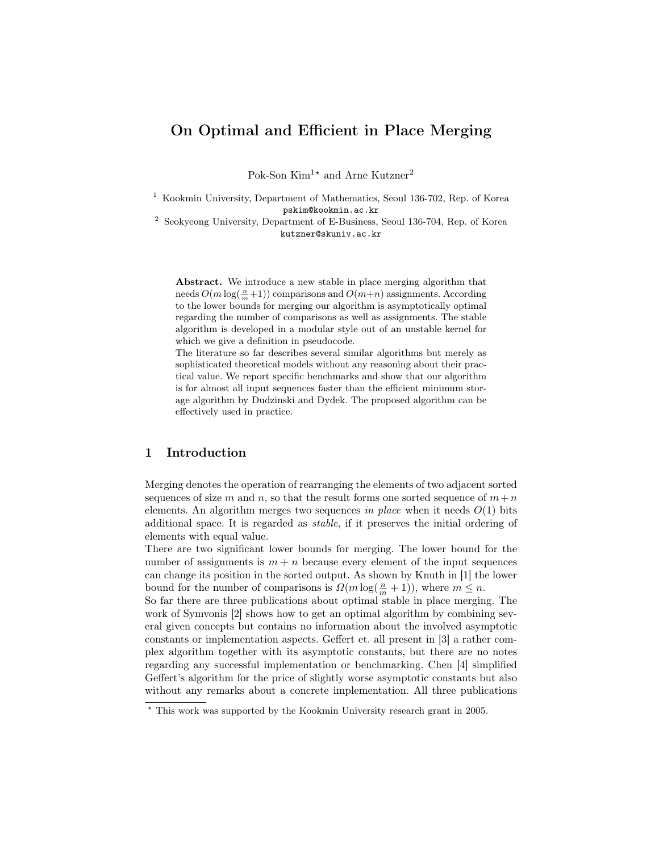# On Optimal and Efficient in Place Merging

Pok-Son  $\mathrm{Kim^{1\star}}$  and Arne  $\mathrm{Kutzner^2}$ 

<sup>1</sup> Kookmin University, Department of Mathematics, Seoul 136-702, Rep. of Korea pskim@kookmin.ac.kr

<sup>2</sup> Seokyeong University, Department of E-Business, Seoul 136-704, Rep. of Korea kutzner@skuniv.ac.kr

Abstract. We introduce a new stable in place merging algorithm that needs  $O(m \log(\frac{n}{m}+1))$  comparisons and  $O(m+n)$  assignments. According to the lower bounds for merging our algorithm is asymptotically optimal regarding the number of comparisons as well as assignments. The stable algorithm is developed in a modular style out of an unstable kernel for which we give a definition in pseudocode.

The literature so far describes several similar algorithms but merely as sophisticated theoretical models without any reasoning about their practical value. We report specific benchmarks and show that our algorithm is for almost all input sequences faster than the efficient minimum storage algorithm by Dudzinski and Dydek. The proposed algorithm can be effectively used in practice.

### 1 Introduction

Merging denotes the operation of rearranging the elements of two adjacent sorted sequences of size m and n, so that the result forms one sorted sequence of  $m + n$ elements. An algorithm merges two sequences in place when it needs  $O(1)$  bits additional space. It is regarded as stable, if it preserves the initial ordering of elements with equal value.

There are two significant lower bounds for merging. The lower bound for the number of assignments is  $m + n$  because every element of the input sequences can change its position in the sorted output. As shown by Knuth in [1] the lower bound for the number of comparisons is  $\Omega(m \log(\frac{n}{m} + 1))$ , where  $m \leq n$ .

So far there are three publications about optimal stable in place merging. The work of Symvonis [2] shows how to get an optimal algorithm by combining several given concepts but contains no information about the involved asymptotic constants or implementation aspects. Geffert et. all present in [3] a rather complex algorithm together with its asymptotic constants, but there are no notes regarding any successful implementation or benchmarking. Chen [4] simplified Geffert's algorithm for the price of slightly worse asymptotic constants but also without any remarks about a concrete implementation. All three publications

<sup>?</sup> This work was supported by the Kookmin University research grant in 2005.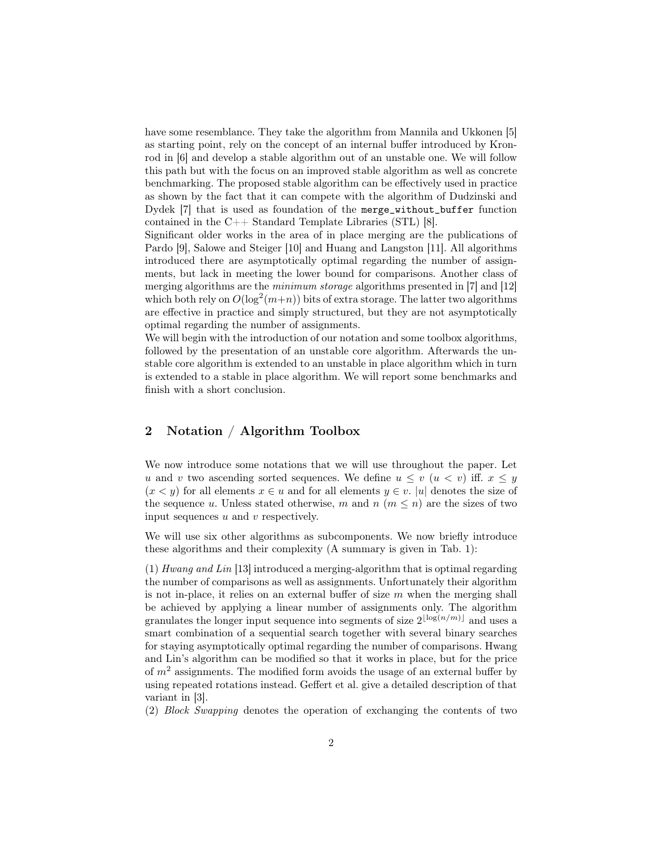have some resemblance. They take the algorithm from Mannila and Ukkonen [5] as starting point, rely on the concept of an internal buffer introduced by Kronrod in [6] and develop a stable algorithm out of an unstable one. We will follow this path but with the focus on an improved stable algorithm as well as concrete benchmarking. The proposed stable algorithm can be effectively used in practice as shown by the fact that it can compete with the algorithm of Dudzinski and Dydek [7] that is used as foundation of the merge\_without\_buffer function contained in the C++ Standard Template Libraries (STL) [8].

Significant older works in the area of in place merging are the publications of Pardo [9], Salowe and Steiger [10] and Huang and Langston [11]. All algorithms introduced there are asymptotically optimal regarding the number of assignments, but lack in meeting the lower bound for comparisons. Another class of merging algorithms are the minimum storage algorithms presented in [7] and [12] which both rely on  $O(\log^2(m+n))$  bits of extra storage. The latter two algorithms are effective in practice and simply structured, but they are not asymptotically optimal regarding the number of assignments.

We will begin with the introduction of our notation and some toolbox algorithms, followed by the presentation of an unstable core algorithm. Afterwards the unstable core algorithm is extended to an unstable in place algorithm which in turn is extended to a stable in place algorithm. We will report some benchmarks and finish with a short conclusion.

# 2 Notation / Algorithm Toolbox

We now introduce some notations that we will use throughout the paper. Let u and v two ascending sorted sequences. We define  $u \leq v$   $(u \lt v)$  iff.  $x \leq y$  $(x < y)$  for all elements  $x \in u$  and for all elements  $y \in v$ . |u| denotes the size of the sequence u. Unless stated otherwise, m and  $n (m \leq n)$  are the sizes of two input sequences  $u$  and  $v$  respectively.

We will use six other algorithms as subcomponents. We now briefly introduce these algorithms and their complexity (A summary is given in Tab. 1):

(1) Hwang and Lin [13] introduced a merging-algorithm that is optimal regarding the number of comparisons as well as assignments. Unfortunately their algorithm is not in-place, it relies on an external buffer of size  $m$  when the merging shall be achieved by applying a linear number of assignments only. The algorithm granulates the longer input sequence into segments of size  $2^{\lfloor \log(n/m) \rfloor}$  and uses a smart combination of a sequential search together with several binary searches for staying asymptotically optimal regarding the number of comparisons. Hwang and Lin's algorithm can be modified so that it works in place, but for the price of  $m<sup>2</sup>$  assignments. The modified form avoids the usage of an external buffer by using repeated rotations instead. Geffert et al. give a detailed description of that variant in [3].

(2) Block Swapping denotes the operation of exchanging the contents of two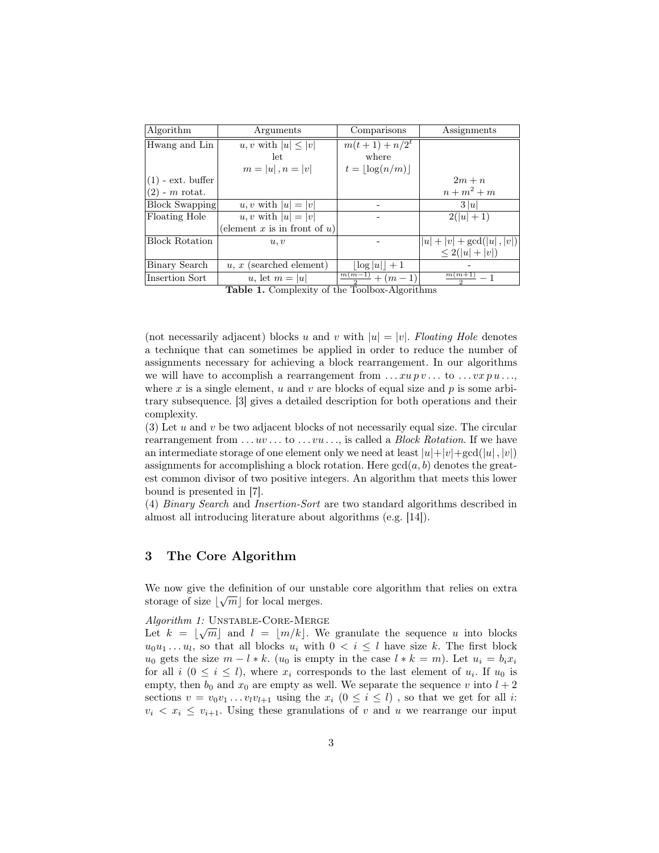| Algorithm                                    | Arguments                       | Comparisons                           | Assignments                  |  |  |  |  |  |
|----------------------------------------------|---------------------------------|---------------------------------------|------------------------------|--|--|--|--|--|
| Hwang and Lin                                | $u, v$ with $ u  \leq  v $      |                                       |                              |  |  |  |  |  |
|                                              | let                             | where                                 |                              |  |  |  |  |  |
|                                              | $m =  u , n =  v $              | $t =  \log(n/m) $                     |                              |  |  |  |  |  |
| $(1)$ - ext. buffer                          |                                 |                                       | $2m + n$                     |  |  |  |  |  |
| $(2)$ - m rotat.                             |                                 |                                       | $n+m^2+m$                    |  |  |  |  |  |
| <b>Block Swapping</b>                        | u, v with $ u = v $             |                                       | 3 u                          |  |  |  |  |  |
| <b>Floating Hole</b>                         | u, v with $ u = v $             |                                       | $2( u +1)$                   |  |  |  |  |  |
|                                              | (element x is in front of $u$ ) |                                       |                              |  |  |  |  |  |
| <b>Block Rotation</b>                        | u, v                            |                                       | $ u  +  v  + \gcd( u ,  v )$ |  |  |  |  |  |
|                                              |                                 |                                       | $\leq 2( u + v )$            |  |  |  |  |  |
| Binary Search                                | $u, x$ (searched element)       | $\log u $ + 1                         |                              |  |  |  |  |  |
| Insertion Sort                               | u, let $m =  u $                | $\frac{\overline{m(m-1)}}{2} + (m-1)$ | $\frac{m(m+1)}{m-1} - 1$     |  |  |  |  |  |
| Table 1 Complexity of the Toolboy Algorithms |                                 |                                       |                              |  |  |  |  |  |

Table 1. Complexity of the Toolbox-Algorithms

(not necessarily adjacent) blocks u and v with  $|u| = |v|$ . Floating Hole denotes a technique that can sometimes be applied in order to reduce the number of assignments necessary for achieving a block rearrangement. In our algorithms we will have to accomplish a rearrangement from  $\dots x u p v \dots$  to  $\dots v x p u \dots$ , where x is a single element, u and v are blocks of equal size and p is some arbitrary subsequence. [3] gives a detailed description for both operations and their complexity.

 $(3)$  Let u and v be two adjacent blocks of not necessarily equal size. The circular rearrangement from  $\dots uv \dots$  to  $\dots vu \dots$ , is called a *Block Rotation*. If we have an intermediate storage of one element only we need at least  $|u|+|v|+gcd(|u|, |v|)$ assignments for accomplishing a block rotation. Here  $gcd(a, b)$  denotes the greatest common divisor of two positive integers. An algorithm that meets this lower bound is presented in [7].

(4) Binary Search and Insertion-Sort are two standard algorithms described in almost all introducing literature about algorithms (e.g. [14]).

# 3 The Core Algorithm

We now give the definition of our unstable core algorithm that relies on extra storage of size  $\lfloor \sqrt{m} \rfloor$  for local merges.

# $Algorithm 1: \text{UNSTABLE-CORE-MERGE}$

Let  $k = |\sqrt{m}|$  and  $l = |m/k|$ . We granulate the sequence u into blocks  $u_0u_1 \ldots u_l$ , so that all blocks  $u_i$  with  $0 < i \leq l$  have size k. The first block  $u_0$  gets the size  $m - l * k$ .  $(u_0$  is empty in the case  $l * k = m$ ). Let  $u_i = b_i x_i$ for all  $i$   $(0 \le i \le l)$ , where  $x_i$  corresponds to the last element of  $u_i$ . If  $u_0$  is empty, then  $b_0$  and  $x_0$  are empty as well. We separate the sequence v into  $l + 2$ sections  $v = v_0v_1 \ldots v_l v_{l+1}$  using the  $x_i$   $(0 \le i \le l)$ , so that we get for all *i*:  $v_i \leq x_i \leq v_{i+1}$ . Using these granulations of v and u we rearrange our input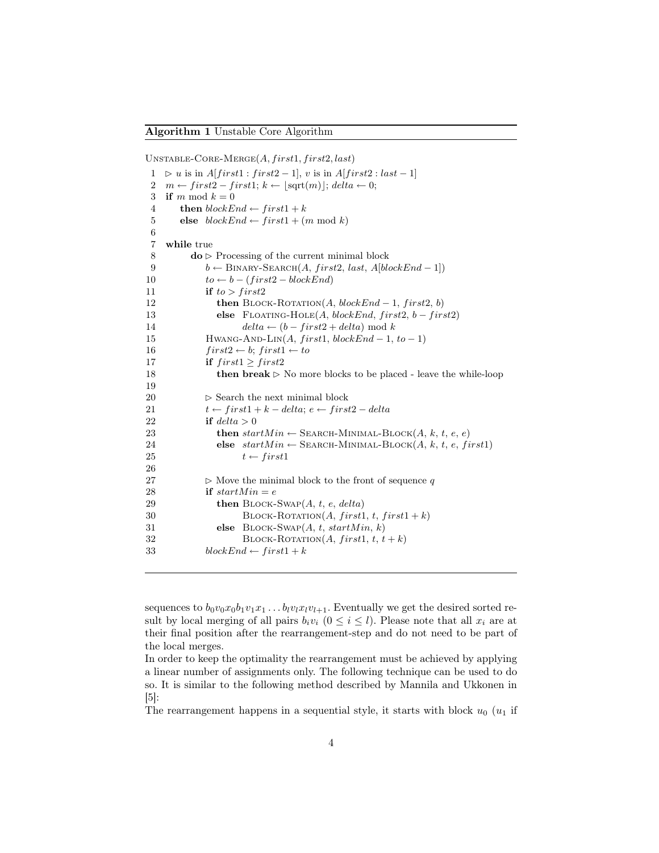UNSTABLE-CORE-MERGE $(A, first1, first2, last)$ 

 $1 \geq u$  is in  $A[first1 : first2 - 1], v$  is in  $A[first2 : last - 1]$ 2  $m \leftarrow first2 - first1; k \leftarrow [sqrt(m)]; delta \leftarrow 0;$ 3 if m mod  $k = 0$ 4 then  $blockEnd \leftarrow first1 + k$ 5 else  $blockEnd \leftarrow first1 + (m \mod k)$ 6 7 while true 8 **do**  $\triangleright$  Processing of the current minimal block 9  $b \leftarrow \text{BINARY-SEARCH}(A, first2, last, A[blockEnd-1])$ 10  $to \leftarrow b - (first2 - blockEnd)$ 11 if  $to > first2$ 12 **then**  $\text{BLOCK-ROTATION}(A, blockEnd-1, first2, b)$ 13 else FLOATING-HOLE $(A, blockEnd, first2, b-first2)$ 14 delta ←  $(b - first2 + delta) \mod k$ 15 HWANG-AND-LIN $(A, first1, blockEnd-1, to -1)$ 16  $first2 \leftarrow b; first1 \leftarrow to$ 17 if  $first1 \geq first2$ 18 **then break**  $\triangleright$  No more blocks to be placed - leave the while-loop 19 20  $\triangleright$  Search the next minimal block 21  $t \leftarrow first1 + k - delta; e \leftarrow first2 - delta$ 22 if  $delta > 0$ 23 then  $startMin \leftarrow$  SEARCH-MINIMAL-BLOCK $(A, k, t, e, e)$ 24 else  $startMin \leftarrow$  SEARCH-MINIMAL-BLOCK $(A, k, t, e, first1)$ 25  $t \leftarrow first1$ 26 27  $\triangleright$  Move the minimal block to the front of sequence q 28 if  $startMin = e$ 29 then  $B$ LOCK-SWAP $(A, t, e, delta)$ 30 BLOCK-ROTATION $(A, first1, t, first1 + k)$ 31 else  $B$ LOCK-SWAP $(A, t, startMin, k)$ 32 BLOCK-ROTATION $(A, first1, t, t + k)$ 33 blockEnd ← first1 + k

sequences to  $b_0v_0x_0b_1v_1x_1...b_lv_lx_lv_{l+1}$ . Eventually we get the desired sorted result by local merging of all pairs  $b_i v_i$   $(0 \le i \le l)$ . Please note that all  $x_i$  are at their final position after the rearrangement-step and do not need to be part of the local merges.

The rearrangement happens in a sequential style, it starts with block  $u_0$  ( $u_1$  if

In order to keep the optimality the rearrangement must be achieved by applying a linear number of assignments only. The following technique can be used to do so. It is similar to the following method described by Mannila and Ukkonen in [5]: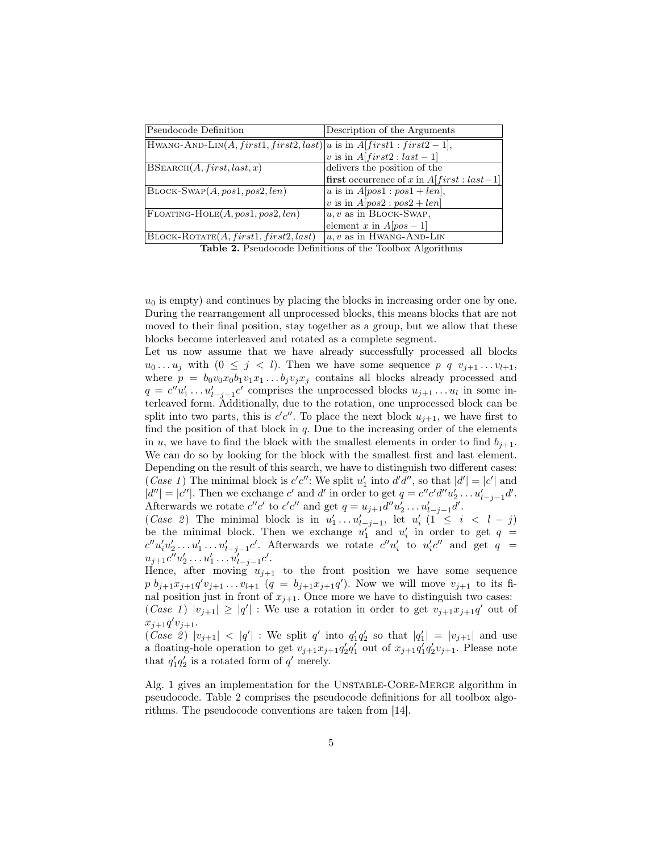| Pseudocode Definition                                                      | Description of the Arguments                       |  |  |  |
|----------------------------------------------------------------------------|----------------------------------------------------|--|--|--|
| HWANG-AND-LIN(A, first1, first2, last)  u is in $A$ [first1 : first2 - 1], |                                                    |  |  |  |
|                                                                            | v is in $A[first2: last-1]$                        |  |  |  |
| BSEARCH(A, first, last, x)                                                 | delivers the position of the                       |  |  |  |
|                                                                            | <b>first</b> occurrence of x in $A[first: last-1]$ |  |  |  |
| $B$ LOCK-SWAP $(A, pos1, pos2, len)$                                       | u is in $A[pos1 : pos1 + len],$                    |  |  |  |
|                                                                            | v is in $A[pos2 : pos2 + len]$                     |  |  |  |
| $F$ LOATING-HOLE $(A, pos1, pos2, len)$                                    | $u, v$ as in BLOCK-SWAP,                           |  |  |  |
|                                                                            | element x in $Apos-1$                              |  |  |  |
| $\text{Block-ROTATE}(A, first1, first2, last)$                             | $ u, v$ as in HWANG-AND-LIN                        |  |  |  |
| --------<br>$0.1$ $\sim$ $\sim$ $\sim$ $\sim$ $\sim$ $\sim$                |                                                    |  |  |  |

Table 2. Pseudocode Definitions of the Toolbox Algorithms

 $u_0$  is empty) and continues by placing the blocks in increasing order one by one. During the rearrangement all unprocessed blocks, this means blocks that are not moved to their final position, stay together as a group, but we allow that these blocks become interleaved and rotated as a complete segment.

Let us now assume that we have already successfully processed all blocks  $u_0 \dots u_j$  with  $(0 \leq j < l)$ . Then we have some sequence p q  $v_{j+1} \dots v_{l+1}$ , where  $p = b_0v_0x_0b_1v_1x_1...b_jv_jx_j$  contains all blocks already processed and  $q = c''u'_1 \dots u'_{l-j-1}c'$  comprises the unprocessed blocks  $u_{j+1} \dots u_l$  in some interleaved form. Additionally, due to the rotation, one unprocessed block can be split into two parts, this is  $c'c''$ . To place the next block  $u_{j+1}$ , we have first to find the position of that block in  $q$ . Due to the increasing order of the elements in u, we have to find the block with the smallest elements in order to find  $b_{j+1}$ . We can do so by looking for the block with the smallest first and last element. Depending on the result of this search, we have to distinguish two different cases: (*Case 1*) The minimal block is  $c'c''$ : We split  $u'_1$  into  $d'd''$ , so that  $|d'| = |c'|$  and  $|d''| = |c''|$ . Then we exchange c' and d' in order to get  $q = c''c'd''u'_2 \ldots u'_{l-j-1}d'$ . Afterwards we rotate  $c''c'$  to  $c'c''$  and get  $q = u_{j+1}d''u'_2 \dots u'_{l-j-1}d'$ .

(*Case 2*) The minimal block is in  $u'_1 \dots u'_{l-j-1}$ , let  $u'_i$  (1  $\leq i \leq l - j$ ) be the minimal block. Then we exchange  $u'_1$  and  $u'_i$  in order to get  $q =$  $c''u'_i u'_2 \ldots u'_{1-i-1}c'$ . Afterwards we rotate  $c''u'_i$  to  $u'_i c''$  and get  $q =$  $u_{j+1}c''u'_2 \ldots u'_1 \ldots u'_{l-j-1}c'$ .

Hence, after moving  $u_{j+1}$  to the front position we have some sequence  $p \; b_{j+1} x_{j+1} q' v_{j+1} \ldots v_{l+1} \; (q = b_{j+1} x_{j+1} q')$ . Now we will move  $v_{j+1}$  to its final position just in front of  $x_{j+1}$ . Once more we have to distinguish two cases: (Case 1)  $|v_{j+1}| \geq |q'|$ : We use a rotation in order to get  $v_{j+1}x_{j+1}q'$  out of  $x_{j+1}q'v_{j+1}.$ 

 $(Case 2) |v_{j+1}| < |q'|$ : We split q' into  $q'_1q'_2$  so that  $|q'_1| = |v_{j+1}|$  and use a floating-hole operation to get  $v_{j+1}x_{j+1}q'_2q'_1$  out of  $x_{j+1}q'_1q'_2v_{j+1}$ . Please note that  $q'_1q'_2$  is a rotated form of  $q'$  merely.

Alg. 1 gives an implementation for the UNSTABLE-CORE-MERGE algorithm in pseudocode. Table 2 comprises the pseudocode definitions for all toolbox algorithms. The pseudocode conventions are taken from [14].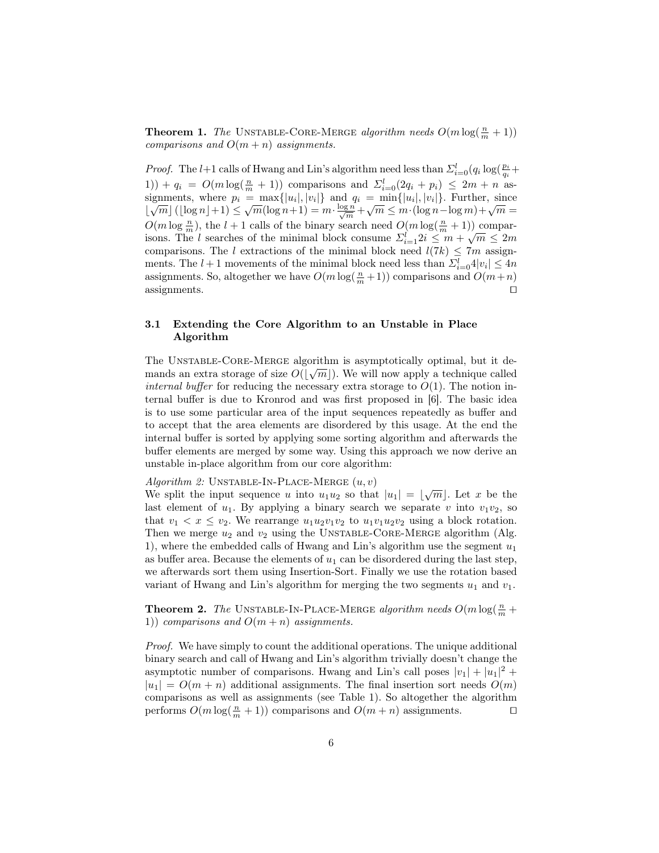**Theorem 1.** The UNSTABLE-CORE-MERGE algorithm needs  $O(m \log(\frac{n}{m} + 1))$ comparisons and  $O(m + n)$  assignments.

*Proof.* The  $l+1$  calls of Hwang and Lin's algorithm need less than  $\sum_{i=0}^{l} (q_i \log(\frac{p_i}{q_i} +$ 1) +  $q_i = O(m \log(\frac{n}{m} + 1))$  comparisons and  $\Sigma_{i=0}^l(2q_i + p_i) \leq 2m + n$  assignments, where  $p_i = \max\{|u_i|, |v_i|\}$  and  $q_i = \min\{|u_i|, |v_i|\}$ . Further, since signments, where  $p_i = \max\{|u_i|, |v_i|\}$  and  $q_i = \min\{|u_i|, |v_i|\}$ . Further, since  $\lfloor \sqrt{m} \rfloor (\lfloor \log n \rfloor + 1) \le \sqrt{m} (\log n + 1) = m \cdot \frac{\log n}{\sqrt{m}} + \sqrt{m} \le m \cdot (\log n - \log m) + \sqrt{m} =$  $O(m \log \frac{n}{m})$ , the  $l + 1$  calls of the binary search need  $O(m \log(\frac{n}{m} + 1))$  comparisons. The l searches of the minimal block consume  $\Sigma_{i=1}^l 2i \leq m + \sqrt{m} \leq 2m$ comparisons. The l extractions of the minimal block need  $l(7k) \leq 7m$  assignments. The  $l+1$  movements of the minimal block need less than  $\sum_{i=0}^{l} 4|v_i| \leq 4n$ assignments. So, altogether we have  $O(m \log(\frac{n}{m} + 1))$  comparisons and  $O(m+n)$  $\Box$ assignments.  $\Box$ 

#### 3.1 Extending the Core Algorithm to an Unstable in Place Algorithm

The UNSTABLE-CORE-MERGE algorithm is asymptotically optimal, but it demands an extra storage of size  $O(|\sqrt{m}|)$ . We will now apply a technique called *internal buffer* for reducing the necessary extra storage to  $O(1)$ . The notion internal buffer is due to Kronrod and was first proposed in [6]. The basic idea is to use some particular area of the input sequences repeatedly as buffer and to accept that the area elements are disordered by this usage. At the end the internal buffer is sorted by applying some sorting algorithm and afterwards the buffer elements are merged by some way. Using this approach we now derive an unstable in-place algorithm from our core algorithm:

Algorithm 2: UNSTABLE-IN-PLACE-MERGE  $(u, v)$ 

 $\mu$  algorithm z. UNSTABLE-IN-1 LACE-WERGE  $(u, v)$ <br>We split the input sequence u into  $u_1 u_2$  so that  $|u_1| = \lfloor \sqrt{m} \rfloor$ . Let x be the last element of  $u_1$ . By applying a binary search we separate v into  $v_1v_2$ , so that  $v_1 < x \le v_2$ . We rearrange  $u_1u_2v_1v_2$  to  $u_1v_1u_2v_2$  using a block rotation. Then we merge  $u_2$  and  $v_2$  using the UNSTABLE-CORE-MERGE algorithm (Alg. 1), where the embedded calls of Hwang and Lin's algorithm use the segment  $u_1$ as buffer area. Because the elements of  $u_1$  can be disordered during the last step, we afterwards sort them using Insertion-Sort. Finally we use the rotation based variant of Hwang and Lin's algorithm for merging the two segments  $u_1$  and  $v_1$ .

**Theorem 2.** The UNSTABLE-IN-PLACE-MERGE algorithm needs  $O(m \log(\frac{n}{m} +$ 1)) comparisons and  $O(m + n)$  assignments.

Proof. We have simply to count the additional operations. The unique additional binary search and call of Hwang and Lin's algorithm trivially doesn't change the asymptotic number of comparisons. Hwang and Lin's call poses  $|v_1| + |u_1|^2 +$  $|u_1| = O(m+n)$  additional assignments. The final insertion sort needs  $O(m)$ comparisons as well as assignments (see Table 1). So altogether the algorithm performs  $O(m \log(\frac{n}{m} + 1))$  comparisons and  $O(m + n)$  assignments.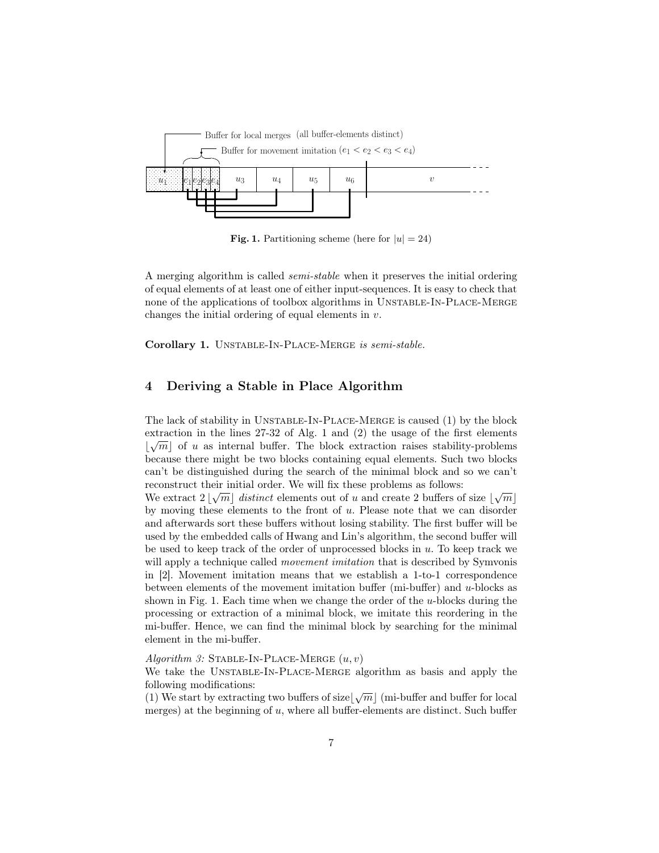

**Fig. 1.** Partitioning scheme (here for  $|u| = 24$ )

A merging algorithm is called semi-stable when it preserves the initial ordering of equal elements of at least one of either input-sequences. It is easy to check that none of the applications of toolbox algorithms in Unstable-In-Place-Merge changes the initial ordering of equal elements in  $v$ .

Corollary 1. UNSTABLE-IN-PLACE-MERGE is semi-stable.

# 4 Deriving a Stable in Place Algorithm

The lack of stability in Unstable-In-Place-Merge is caused (1) by the block extraction in the lines 27-32 of Alg. 1 and (2) the usage of the first elements  $\lfloor \sqrt{m} \rfloor$  of u as internal buffer. The block extraction raises stability-problems because there might be two blocks containing equal elements. Such two blocks can't be distinguished during the search of the minimal block and so we can't reconstruct their initial order. We will fix these problems as follows:

reconstruct their initial order. We will fix these problems as follows:<br>We extract  $2|\sqrt{m}|$  *distinct* elements out of u and create 2 buffers of size  $|\sqrt{m}|$ by moving these elements to the front of  $u$ . Please note that we can disorder and afterwards sort these buffers without losing stability. The first buffer will be used by the embedded calls of Hwang and Lin's algorithm, the second buffer will be used to keep track of the order of unprocessed blocks in  $u$ . To keep track we will apply a technique called *movement imitation* that is described by Symvonis in [2]. Movement imitation means that we establish a 1-to-1 correspondence between elements of the movement imitation buffer (mi-buffer) and u-blocks as shown in Fig. 1. Each time when we change the order of the u-blocks during the processing or extraction of a minimal block, we imitate this reordering in the mi-buffer. Hence, we can find the minimal block by searching for the minimal element in the mi-buffer.

Algorithm 3: STABLE-IN-PLACE-MERGE  $(u, v)$ 

We take the UNSTABLE-IN-PLACE-MERGE algorithm as basis and apply the following modifications:

following modifications:<br>(1) We start by extracting two buffers of size  $\lfloor \sqrt{m} \rfloor$  (mi-buffer and buffer for local merges) at the beginning of  $u$ , where all buffer-elements are distinct. Such buffer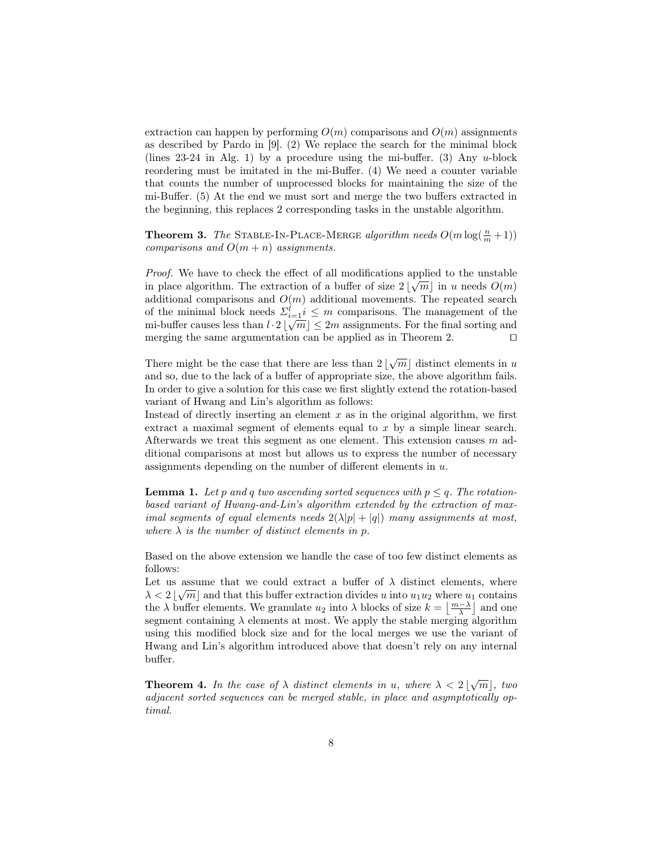extraction can happen by performing  $O(m)$  comparisons and  $O(m)$  assignments as described by Pardo in [9]. (2) We replace the search for the minimal block (lines 23-24 in Alg. 1) by a procedure using the mi-buffer. (3) Any u-block reordering must be imitated in the mi-Buffer. (4) We need a counter variable that counts the number of unprocessed blocks for maintaining the size of the mi-Buffer. (5) At the end we must sort and merge the two buffers extracted in the beginning, this replaces 2 corresponding tasks in the unstable algorithm.

**Theorem 3.** The STABLE-IN-PLACE-MERGE algorithm needs  $O(m \log(\frac{n}{m} + 1))$ comparisons and  $O(m + n)$  assignments.

*Proof.* We have to check the effect of all modifications applied to the unstable in place algorithm. The extraction of a buffer of size  $2\lfloor\sqrt{m}\rfloor$  in u needs  $O(m)$ additional comparisons and  $O(m)$  additional movements. The repeated search of the minimal block needs  $\sum_{i=1}^{l} i \leq m$  comparisons. The management of the mi-buffer causes less than  $l \cdot 2 \sqrt{m} \leq 2m$  assignments. For the final sorting and merging the same argumentation can be applied as in Theorem 2.  $\Box$ 

There might be the case that there are less than  $2\lfloor\sqrt{m}\rfloor$  distinct elements in u and so, due to the lack of a buffer of appropriate size, the above algorithm fails. In order to give a solution for this case we first slightly extend the rotation-based variant of Hwang and Lin's algorithm as follows:

Instead of directly inserting an element  $x$  as in the original algorithm, we first extract a maximal segment of elements equal to x by a simple linear search. Afterwards we treat this segment as one element. This extension causes  $m$  additional comparisons at most but allows us to express the number of necessary assignments depending on the number of different elements in u.

**Lemma 1.** Let p and q two ascending sorted sequences with  $p \leq q$ . The rotationbased variant of Hwang-and-Lin's algorithm extended by the extraction of maximal segments of equal elements needs  $2(\lambda|p|+|q|)$  many assignments at most, where  $\lambda$  is the number of distinct elements in p.

Based on the above extension we handle the case of too few distinct elements as follows:

Let us assume that we could extract a buffer of  $\lambda$  distinct elements, where  $\lambda < 2 \lfloor \sqrt{m} \rfloor$  and that this buffer extraction divides u into  $u_1u_2$  where  $u_1$  contains the  $\lambda$  buffer elements. We granulate  $u_2$  into  $\lambda$  blocks of size  $k = \lfloor \frac{m-\lambda}{\lambda} \rfloor$  and one segment containing  $\lambda$  elements at most. We apply the stable merging algorithm using this modified block size and for the local merges we use the variant of Hwang and Lin's algorithm introduced above that doesn't rely on any internal buffer.

**Theorem 4.** In the case of  $\lambda$  distinct elements in u, where  $\lambda < 2 \sqrt{m}$ , two adjacent sorted sequences can be merged stable, in place and asymptotically optimal.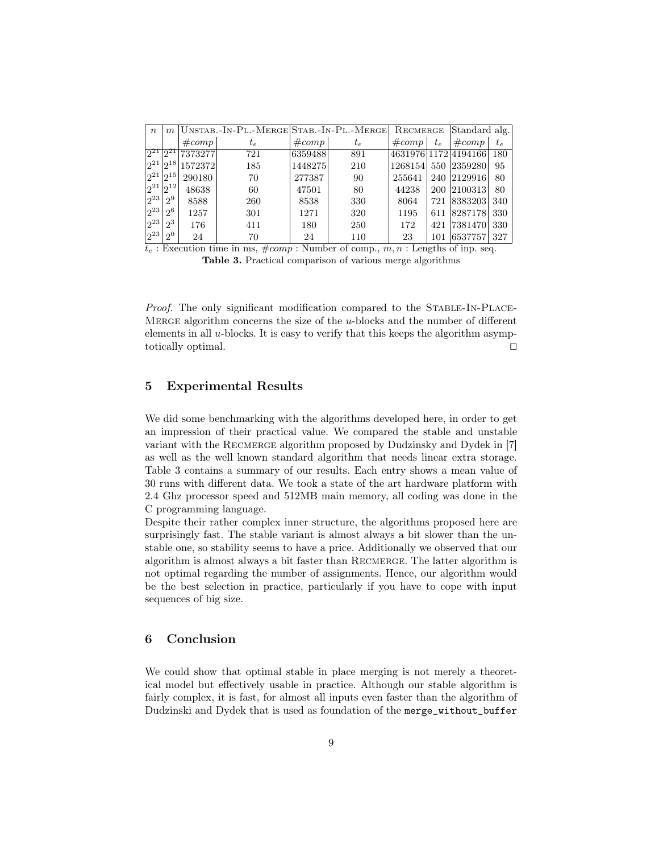| $\boldsymbol{n}$ |                | $m$ UNSTAB.-IN-PL.-MERGE STAB.-IN-PL.-MERGE |       |         |       | RECMERGE |       | Standard alg.        |       |
|------------------|----------------|---------------------------------------------|-------|---------|-------|----------|-------|----------------------|-------|
|                  |                | $\#comp$                                    | $t_e$ | #comp   | $t_e$ | $\#comp$ | $t_e$ | #comp                | $t_e$ |
| $2^{21}$         | $-12^{21}$     | 7373277                                     | 721   | 6359488 | 891   |          |       | 4631976 1172 4194166 | 180   |
| $ 2^{21}$        | $10^{18}$      | 1572372                                     | 185   | 1448275 | 210   | 1268154  |       | 550 2359280          | 95    |
| $ 2^{21}$        | $10^{15}$      | 290180                                      | 70    | 277387  | 90    | 255641   |       | 240 2129916          | 80    |
| $ 2^{21}$        | $2^{12}$       | 48638                                       | 60    | 47501   | 80    | 44238    |       | 200 2100313          | 80    |
| $ 2^{23}$        | $2^9$          | 8588                                        | 260   | 8538    | 330   | 8064     | 721   | 8383203              | 340   |
| $ 2^{23}$        | 2 <sup>6</sup> | 1257                                        | 301   | 1271    | 320   | 1195     | 611   | 8287178              | 330   |
| $ 2^{23}$        | $2^3$          | 176                                         | 411   | 180     | 250   | 172      | 421   | 7381470              | 330   |
| $ 2^{23}$        | 2 <sub>0</sub> | 24                                          | 70    | 24      | 110   | 23       | 101   | 6537757              | 327   |

 $t_e$ : Execution time in ms,  $\#comp$ : Number of comp.,  $m, n$ : Lengths of inp. seq. Table 3. Practical comparison of various merge algorithms

Proof. The only significant modification compared to the STABLE-IN-PLACE-MERGE algorithm concerns the size of the  $u$ -blocks and the number of different elements in all  $u$ -blocks. It is easy to verify that this keeps the algorithm asymptotically optimal.

# 5 Experimental Results

We did some benchmarking with the algorithms developed here, in order to get an impression of their practical value. We compared the stable and unstable variant with the RECMERGE algorithm proposed by Dudzinsky and Dydek in [7] as well as the well known standard algorithm that needs linear extra storage. Table 3 contains a summary of our results. Each entry shows a mean value of 30 runs with different data. We took a state of the art hardware platform with 2.4 Ghz processor speed and 512MB main memory, all coding was done in the C programming language.

Despite their rather complex inner structure, the algorithms proposed here are surprisingly fast. The stable variant is almost always a bit slower than the unstable one, so stability seems to have a price. Additionally we observed that our algorithm is almost always a bit faster than Recmerge. The latter algorithm is not optimal regarding the number of assignments. Hence, our algorithm would be the best selection in practice, particularly if you have to cope with input sequences of big size.

# 6 Conclusion

We could show that optimal stable in place merging is not merely a theoretical model but effectively usable in practice. Although our stable algorithm is fairly complex, it is fast, for almost all inputs even faster than the algorithm of Dudzinski and Dydek that is used as foundation of the merge\_without\_buffer